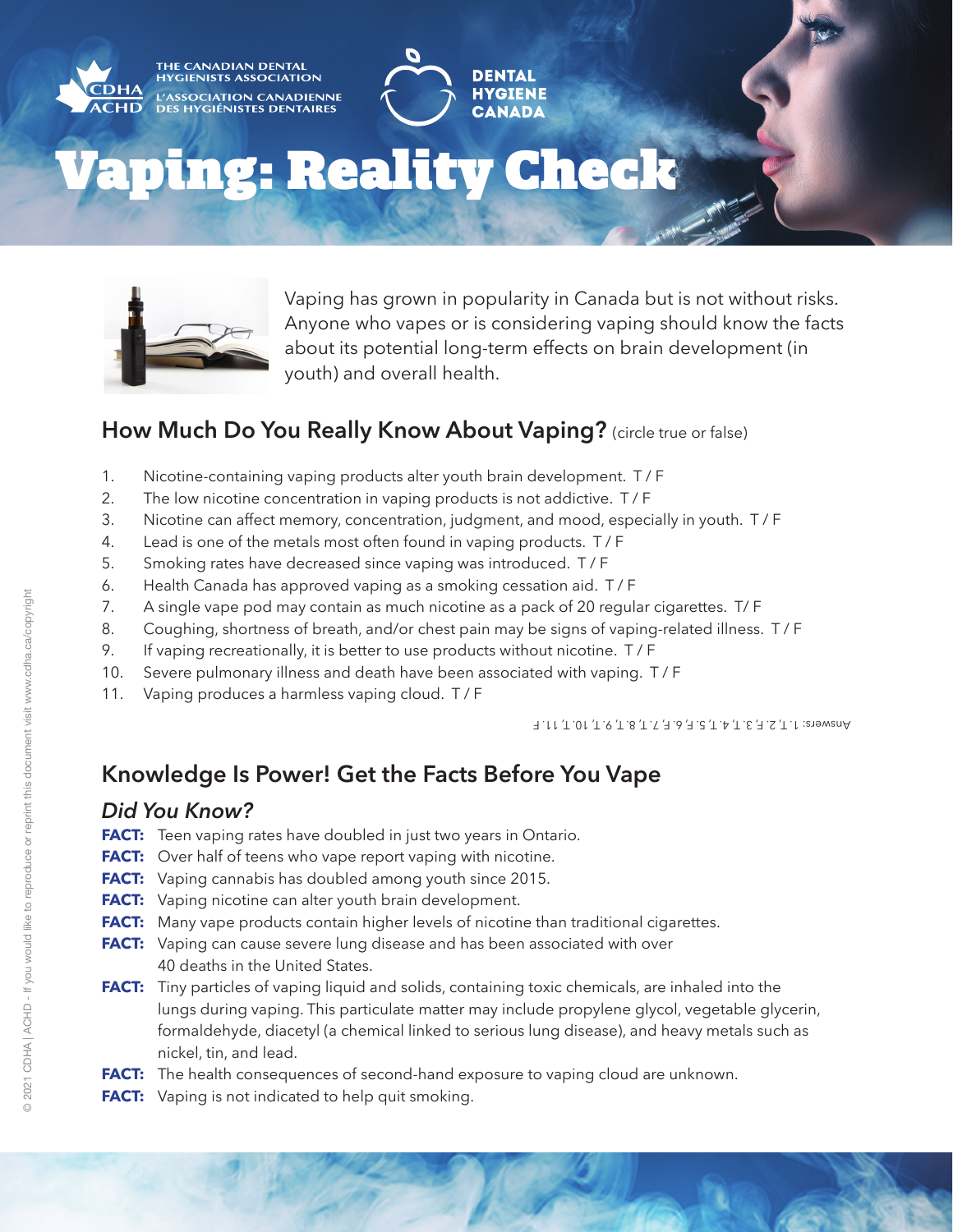

# Vaping: Reality Check



Vaping has grown in popularity in Canada but is not without risks. Anyone who vapes or is considering vaping should know the facts about its potential long-term effects on brain development (in youth) and overall health.

**DENTAI** 

**HYGIENE** 

**CANADA** 

### **How Much Do You Really Know About Vaping?** (circle true or false)

- 1. Nicotine-containing vaping products alter youth brain development. T / F
- 2. The low nicotine concentration in vaping products is not addictive. T / F
- 3. Nicotine can affect memory, concentration, judgment, and mood, especially in youth. T / F
- 4. Lead is one of the metals most often found in vaping products. T / F
- 5. Smoking rates have decreased since vaping was introduced. T / F
- 6. Health Canada has approved vaping as a smoking cessation aid. T / F
- 7. A single vape pod may contain as much nicotine as a pack of 20 regular cigarettes. T/ F
- 8. Coughing, shortness of breath, and/or chest pain may be signs of vaping-related illness. T / F
- 9. If vaping recreationally, it is better to use products without nicotine. T / F
- 10. Severe pulmonary illness and death have been associated with vaping. T / F
- 11. Vaping produces a harmless vaping cloud. T / F

Answers: 1. T, 2. F, 3. T, 4. T, 5. F, 6. F, 7. T, 8. T, 9. T, 10. T, 11. F

# **Knowledge Is Power! Get the Facts Before You Vape**

#### *Did You Know?*

- **FACT:** Teen vaping rates have doubled in just two years in Ontario.
- **FACT:** Over half of teens who vape report vaping with nicotine.
- **FACT:** Vaping cannabis has doubled among youth since 2015.
- **FACT:** Vaping nicotine can alter youth brain development.
- **FACT:** Many vape products contain higher levels of nicotine than traditional cigarettes.
- **FACT:** Vaping can cause severe lung disease and has been associated with over 40 deaths in the United States.
- **FACT:** Tiny particles of vaping liquid and solids, containing toxic chemicals, are inhaled into the lungs during vaping. This particulate matter may include propylene glycol, vegetable glycerin, formaldehyde, diacetyl (a chemical linked to serious lung disease), and heavy metals such as nickel, tin, and lead.
- **FACT:** The health consequences of second-hand exposure to vaping cloud are unknown.
- FACT: Vaping is not indicated to help quit smoking.